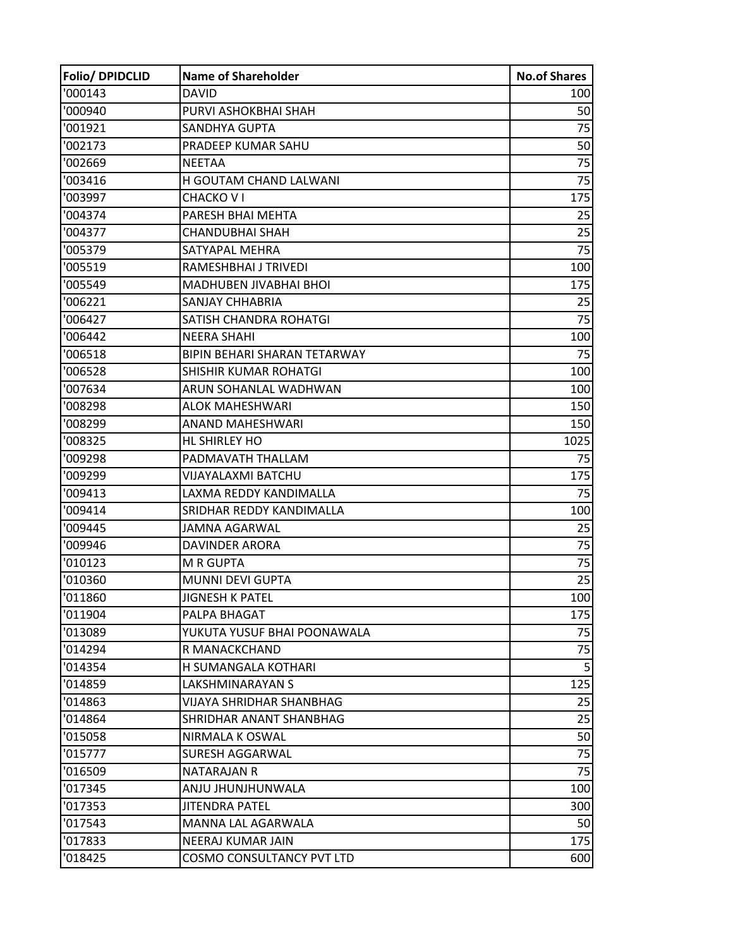| Folio/ DPIDCLID | <b>Name of Shareholder</b>       | <b>No.of Shares</b> |
|-----------------|----------------------------------|---------------------|
| '000143         | <b>DAVID</b>                     | 100                 |
| '000940         | PURVI ASHOKBHAI SHAH             | 50                  |
| '001921         | SANDHYA GUPTA                    | 75                  |
| '002173         | PRADEEP KUMAR SAHU               | 50                  |
| '002669         | <b>NEETAA</b>                    | 75                  |
| '003416         | H GOUTAM CHAND LALWANI           | 75                  |
| '003997         | CHACKO V I                       | 175                 |
| '004374         | PARESH BHAI MEHTA                | 25                  |
| '004377         | CHANDUBHAI SHAH                  | 25                  |
| '005379         | SATYAPAL MEHRA                   | 75                  |
| '005519         | RAMESHBHAI J TRIVEDI             | 100                 |
| '005549         | MADHUBEN JIVABHAI BHOI           | 175                 |
| '006221         | SANJAY CHHABRIA                  | 25                  |
| '006427         | SATISH CHANDRA ROHATGI           | 75                  |
| '006442         | <b>NEERA SHAHI</b>               | 100                 |
| '006518         | BIPIN BEHARI SHARAN TETARWAY     | 75                  |
| '006528         | <b>SHISHIR KUMAR ROHATGI</b>     | 100                 |
| '007634         | ARUN SOHANLAL WADHWAN            | 100                 |
| '008298         | <b>ALOK MAHESHWARI</b>           | 150                 |
| '008299         | ANAND MAHESHWARI                 | 150                 |
| '008325         | HL SHIRLEY HO                    | 1025                |
| '009298         | PADMAVATH THALLAM                | 75                  |
| '009299         | VIJAYALAXMI BATCHU               | 175                 |
| '009413         | LAXMA REDDY KANDIMALLA           | 75                  |
| '009414         | <b>SRIDHAR REDDY KANDIMALLA</b>  | 100                 |
| '009445         | JAMNA AGARWAL                    | 25                  |
| '009946         | <b>DAVINDER ARORA</b>            | 75                  |
| '010123         | <b>M R GUPTA</b>                 | 75                  |
| '010360         | MUNNI DEVI GUPTA                 | 25                  |
| '011860         | <b>JIGNESH K PATEL</b>           | 100                 |
| '011904         | PALPA BHAGAT                     | 175                 |
| '013089         | YUKUTA YUSUF BHAI POONAWALA      | 75                  |
| '014294         | R MANACKCHAND                    | 75                  |
| '014354         | H SUMANGALA KOTHARI              | 5                   |
| '014859         | LAKSHMINARAYAN S                 | 125                 |
| '014863         | VIJAYA SHRIDHAR SHANBHAG         | 25                  |
| '014864         | SHRIDHAR ANANT SHANBHAG          | 25                  |
| '015058         | NIRMALA K OSWAL                  | 50                  |
| '015777         | <b>SURESH AGGARWAL</b>           | 75                  |
| '016509         | NATARAJAN R                      | 75                  |
| '017345         | ANJU JHUNJHUNWALA                | 100                 |
| '017353         | <b>JITENDRA PATEL</b>            | 300                 |
| '017543         | MANNA LAL AGARWALA               | 50                  |
| '017833         | NEERAJ KUMAR JAIN                | 175                 |
| '018425         | <b>COSMO CONSULTANCY PVT LTD</b> | 600                 |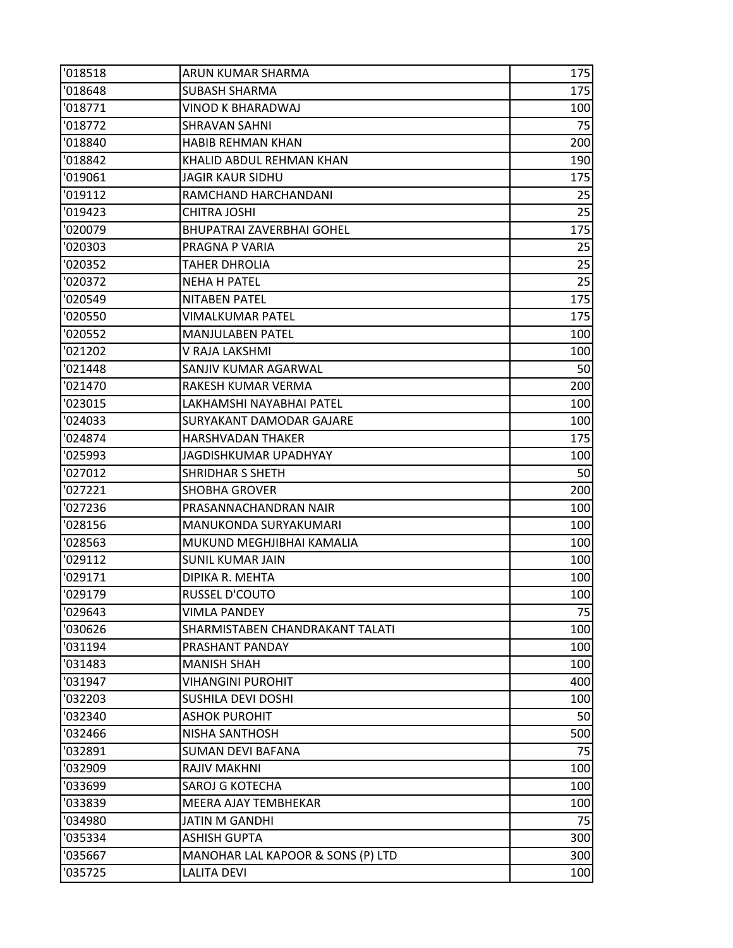| '018518 | ARUN KUMAR SHARMA                 | 175 |
|---------|-----------------------------------|-----|
| '018648 | <b>SUBASH SHARMA</b>              | 175 |
| '018771 | VINOD K BHARADWAJ                 | 100 |
| '018772 | <b>SHRAVAN SAHNI</b>              | 75  |
| '018840 | <b>HABIB REHMAN KHAN</b>          | 200 |
| '018842 | KHALID ABDUL REHMAN KHAN          | 190 |
| '019061 | <b>JAGIR KAUR SIDHU</b>           | 175 |
| '019112 | RAMCHAND HARCHANDANI              | 25  |
| '019423 | <b>CHITRA JOSHI</b>               | 25  |
| '020079 | BHUPATRAI ZAVERBHAI GOHEL         | 175 |
| '020303 | PRAGNA P VARIA                    | 25  |
| '020352 | <b>TAHER DHROLIA</b>              | 25  |
| '020372 | <b>NEHA H PATEL</b>               | 25  |
| '020549 | <b>NITABEN PATEL</b>              | 175 |
| '020550 | <b>VIMALKUMAR PATEL</b>           | 175 |
| '020552 | <b>MANJULABEN PATEL</b>           | 100 |
| '021202 | V RAJA LAKSHMI                    | 100 |
| '021448 | SANJIV KUMAR AGARWAL              | 50  |
| '021470 | RAKESH KUMAR VERMA                | 200 |
| '023015 | LAKHAMSHI NAYABHAI PATEL          | 100 |
| '024033 | SURYAKANT DAMODAR GAJARE          | 100 |
| '024874 | <b>HARSHVADAN THAKER</b>          | 175 |
| '025993 | JAGDISHKUMAR UPADHYAY             | 100 |
| '027012 | SHRIDHAR S SHETH                  | 50  |
| '027221 | <b>SHOBHA GROVER</b>              | 200 |
| '027236 | PRASANNACHANDRAN NAIR             | 100 |
| '028156 | MANUKONDA SURYAKUMARI             | 100 |
| '028563 | MUKUND MEGHJIBHAI KAMALIA         | 100 |
| '029112 | <b>SUNIL KUMAR JAIN</b>           | 100 |
| '029171 | DIPIKA R. MEHTA                   | 100 |
| '029179 | <b>RUSSEL D'COUTO</b>             | 100 |
| '029643 | <b>VIMLA PANDEY</b>               | 75  |
| '030626 | SHARMISTABEN CHANDRAKANT TALATI   | 100 |
| '031194 | PRASHANT PANDAY                   | 100 |
| '031483 | <b>MANISH SHAH</b>                | 100 |
| '031947 | <b>VIHANGINI PUROHIT</b>          | 400 |
| '032203 | SUSHILA DEVI DOSHI                | 100 |
| '032340 | <b>ASHOK PUROHIT</b>              | 50  |
| '032466 | <b>NISHA SANTHOSH</b>             | 500 |
| '032891 | <b>SUMAN DEVI BAFANA</b>          | 75  |
| '032909 | RAJIV MAKHNI                      | 100 |
| '033699 | SAROJ G KOTECHA                   | 100 |
| '033839 | <b>MEERA AJAY TEMBHEKAR</b>       | 100 |
| '034980 | <b>JATIN M GANDHI</b>             | 75  |
| '035334 | <b>ASHISH GUPTA</b>               | 300 |
| '035667 | MANOHAR LAL KAPOOR & SONS (P) LTD | 300 |
| '035725 | <b>LALITA DEVI</b>                | 100 |